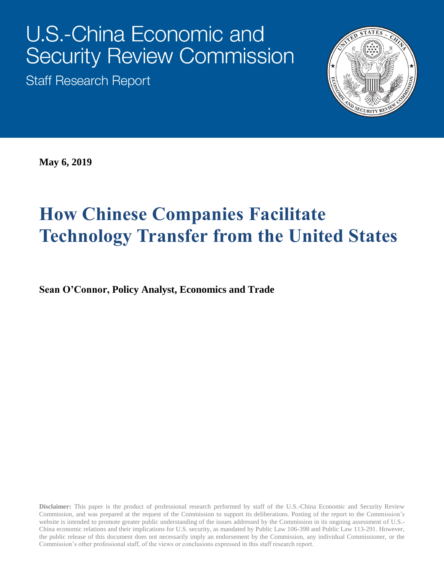# **U.S.-China Economic and Security Review Commission**

**Staff Research Report** 



**May 6, 2019**

## **How Chinese Companies Facilitate Technology Transfer from the United States**

**Sean O'Connor, Policy Analyst, Economics and Trade**

**Disclaimer:** This paper is the product of professional research performed by staff of the U.S.-China Economic and Security Review Commission, and was prepared at the request of the Commission to support its deliberations. Posting of the report to the Commission's website is intended to promote greater public understanding of the issues addressed by the Commission in its ongoing assessment of U.S.- China economic relations and their implications for U.S. security, as mandated by Public Law 106-398 and Public Law 113-291. However, the public release of this document does not necessarily imply an endorsement by the Commission, any individual Commissioner, or the Commission's other professional staff, of the views or conclusions expressed in this staff research report.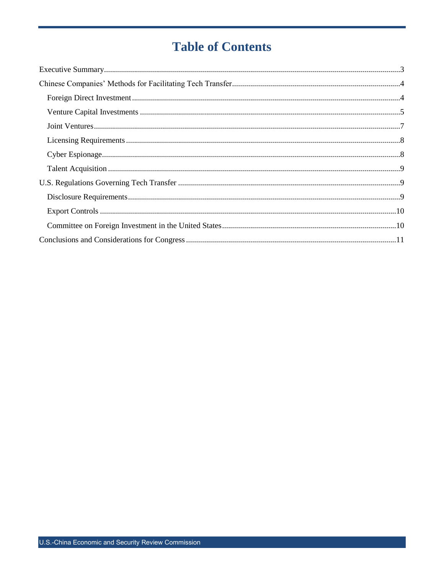## **Table of Contents**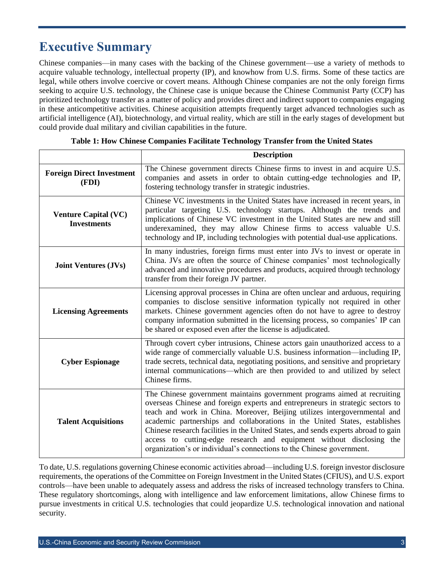## <span id="page-2-0"></span>**Executive Summary**

Chinese companies—in many cases with the backing of the Chinese government—use a variety of methods to acquire valuable technology, intellectual property (IP), and knowhow from U.S. firms. Some of these tactics are legal, while others involve coercive or covert means. Although Chinese companies are not the only foreign firms seeking to acquire U.S. technology, the Chinese case is unique because the Chinese Communist Party (CCP) has prioritized technology transfer as a matter of policy and provides direct and indirect support to companies engaging in these anticompetitive activities. Chinese acquisition attempts frequently target advanced technologies such as artificial intelligence (AI), biotechnology, and virtual reality, which are still in the early stages of development but could provide dual military and civilian capabilities in the future.

|                                                   | <b>Description</b>                                                                                                                                                                                                                                                                                                                                                                                                                                                                                                                                           |  |  |  |  |
|---------------------------------------------------|--------------------------------------------------------------------------------------------------------------------------------------------------------------------------------------------------------------------------------------------------------------------------------------------------------------------------------------------------------------------------------------------------------------------------------------------------------------------------------------------------------------------------------------------------------------|--|--|--|--|
| <b>Foreign Direct Investment</b><br>(FDI)         | The Chinese government directs Chinese firms to invest in and acquire U.S.<br>companies and assets in order to obtain cutting-edge technologies and IP,<br>fostering technology transfer in strategic industries.                                                                                                                                                                                                                                                                                                                                            |  |  |  |  |
| <b>Venture Capital (VC)</b><br><b>Investments</b> | Chinese VC investments in the United States have increased in recent years, in<br>particular targeting U.S. technology startups. Although the trends and<br>implications of Chinese VC investment in the United States are new and still<br>underexamined, they may allow Chinese firms to access valuable U.S.<br>technology and IP, including technologies with potential dual-use applications.                                                                                                                                                           |  |  |  |  |
| <b>Joint Ventures (JVs)</b>                       | In many industries, foreign firms must enter into JVs to invest or operate in<br>China. JVs are often the source of Chinese companies' most technologically<br>advanced and innovative procedures and products, acquired through technology<br>transfer from their foreign JV partner.                                                                                                                                                                                                                                                                       |  |  |  |  |
| <b>Licensing Agreements</b>                       | Licensing approval processes in China are often unclear and arduous, requiring<br>companies to disclose sensitive information typically not required in other<br>markets. Chinese government agencies often do not have to agree to destroy<br>company information submitted in the licensing process, so companies' IP can<br>be shared or exposed even after the license is adjudicated.                                                                                                                                                                   |  |  |  |  |
| <b>Cyber Espionage</b>                            | Through covert cyber intrusions, Chinese actors gain unauthorized access to a<br>wide range of commercially valuable U.S. business information-including IP,<br>trade secrets, technical data, negotiating positions, and sensitive and proprietary<br>internal communications—which are then provided to and utilized by select<br>Chinese firms.                                                                                                                                                                                                           |  |  |  |  |
| <b>Talent Acquisitions</b>                        | The Chinese government maintains government programs aimed at recruiting<br>overseas Chinese and foreign experts and entrepreneurs in strategic sectors to<br>teach and work in China. Moreover, Beijing utilizes intergovernmental and<br>academic partnerships and collaborations in the United States, establishes<br>Chinese research facilities in the United States, and sends experts abroad to gain<br>access to cutting-edge research and equipment without disclosing the<br>organization's or individual's connections to the Chinese government. |  |  |  |  |

**Table 1: How Chinese Companies Facilitate Technology Transfer from the United States**

To date, U.S. regulations governing Chinese economic activities abroad—including U.S. foreign investor disclosure requirements, the operations of the Committee on Foreign Investment in the United States (CFIUS), and U.S. export controls—have been unable to adequately assess and address the risks of increased technology transfers to China. These regulatory shortcomings, along with intelligence and law enforcement limitations, allow Chinese firms to pursue investments in critical U.S. technologies that could jeopardize U.S. technological innovation and national security.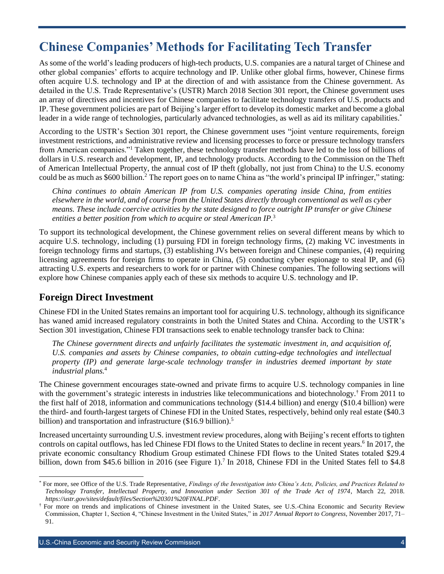## <span id="page-3-0"></span>**Chinese Companies' Methods for Facilitating Tech Transfer**

As some of the world's leading producers of high-tech products, U.S. companies are a natural target of Chinese and other global companies' efforts to acquire technology and IP. Unlike other global firms, however, Chinese firms often acquire U.S. technology and IP at the direction of and with assistance from the Chinese government. As detailed in the U.S. Trade Representative's (USTR) March 2018 Section 301 report, the Chinese government uses an array of directives and incentives for Chinese companies to facilitate technology transfers of U.S. products and IP. These government policies are part of Beijing's larger effort to develop its domestic market and become a global leader in a wide range of technologies, particularly advanced technologies, as well as aid its military capabilities.<sup>\*</sup>

According to the USTR's Section 301 report, the Chinese government uses "joint venture requirements, foreign investment restrictions, and administrative review and licensing processes to force or pressure technology transfers from American companies."<sup>1</sup> Taken together, these technology transfer methods have led to the loss of billions of dollars in U.S. research and development, IP, and technology products. According to the Commission on the Theft of American Intellectual Property, the annual cost of IP theft (globally, not just from China) to the U.S. economy could be as much as \$600 billion.<sup>2</sup> The report goes on to name China as "the world's principal IP infringer," stating:

*China continues to obtain American IP from U.S. companies operating inside China, from entities elsewhere in the world, and of course from the United States directly through conventional as well as cyber means. These include coercive activities by the state designed to force outright IP transfer or give Chinese entities a better position from which to acquire or steal American IP.*<sup>3</sup>

To support its technological development, the Chinese government relies on several different means by which to acquire U.S. technology, including (1) pursuing FDI in foreign technology firms, (2) making VC investments in foreign technology firms and startups, (3) establishing JVs between foreign and Chinese companies, (4) requiring licensing agreements for foreign firms to operate in China, (5) conducting cyber espionage to steal IP, and (6) attracting U.S. experts and researchers to work for or partner with Chinese companies. The following sections will explore how Chinese companies apply each of these six methods to acquire U.S. technology and IP.

#### <span id="page-3-1"></span>**Foreign Direct Investment**

l

Chinese FDI in the United States remains an important tool for acquiring U.S. technology, although its significance has waned amid increased regulatory constraints in both the United States and China. According to the USTR's Section 301 investigation, Chinese FDI transactions seek to enable technology transfer back to China:

*The Chinese government directs and unfairly facilitates the systematic investment in, and acquisition of, U.S. companies and assets by Chinese companies, to obtain cutting-edge technologies and intellectual property (IP) and generate large-scale technology transfer in industries deemed important by state industrial plans.*<sup>4</sup>

The Chinese government encourages state-owned and private firms to acquire U.S. technology companies in line with the government's strategic interests in industries like telecommunications and biotechnology.<sup>†</sup> From 2011 to the first half of 2018, information and communications technology (\$14.4 billion) and energy (\$10.4 billion) were the third- and fourth-largest targets of Chinese FDI in the United States, respectively, behind only real estate (\$40.3 billion) and transportation and infrastructure (\$16.9 billion).<sup>5</sup>

Increased uncertainty surrounding U.S. investment review procedures, along with Beijing's recent efforts to tighten controls on capital outflows, has led Chinese FDI flows to the United States to decline in recent years.<sup>6</sup> In 2017, the private economic consultancy Rhodium Group estimated Chinese FDI flows to the United States totaled \$29.4 billion, down from \$45.6 billion in 2016 (see Figure 1).<sup>7</sup> In 2018, Chinese FDI in the United States fell to \$4.8

<sup>\*</sup> For more, see Office of the U.S. Trade Representative, *Findings of the Investigation into China's Acts, Policies, and Practices Related to Technology Transfer, Intellectual Property, and Innovation under Section 301 of the Trade Act of 1974*, March 22, 2018. *<https://ustr.gov/sites/default/files/Section%20301%20FINAL.PDF>*.

<sup>†</sup> For more on trends and implications of Chinese investment in the United States, see U.S.-China Economic and Security Review Commission, Chapter 1, Section 4, "Chinese Investment in the United States," in *2017 Annual Report to Congress*, November 2017, 71– 91.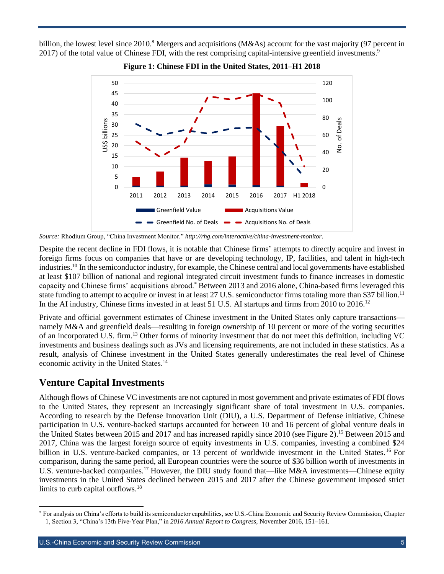billion, the lowest level since 2010.<sup>8</sup> Mergers and acquisitions (M&As) account for the vast majority (97 percent in 2017) of the total value of Chinese FDI, with the rest comprising capital-intensive greenfield investments.<sup>9</sup>



#### **Figure 1: Chinese FDI in the United States, 2011–H1 2018**

*Source:* Rhodium Group, "China Investment Monitor." *<http://rhg.com/interactive/china-investment-monitor>*.

Despite the recent decline in FDI flows, it is notable that Chinese firms' attempts to directly acquire and invest in foreign firms focus on companies that have or are developing technology, IP, facilities, and talent in high-tech industries. <sup>10</sup> In the semiconductor industry, for example, the Chinese central and local governments have established at least \$107 billion of national and regional integrated circuit investment funds to finance increases in domestic capacity and Chinese firms' acquisitions abroad.\* Between 2013 and 2016 alone, China-based firms leveraged this state funding to attempt to acquire or invest in at least 27 U.S. semiconductor firms totaling more than \$37 billion.<sup>11</sup> In the AI industry, Chinese firms invested in at least 51 U.S. AI startups and firms from 2010 to 2016.<sup>12</sup>

Private and official government estimates of Chinese investment in the United States only capture transactions namely M&A and greenfield deals—resulting in foreign ownership of 10 percent or more of the voting securities of an incorporated U.S. firm.<sup>13</sup> Other forms of minority investment that do not meet this definition, including VC investments and business dealings such as JVs and licensing requirements, are not included in these statistics. As a result, analysis of Chinese investment in the United States generally underestimates the real level of Chinese economic activity in the United States.<sup>14</sup>

#### <span id="page-4-0"></span>**Venture Capital Investments**

 $\overline{a}$ 

Although flows of Chinese VC investments are not captured in most government and private estimates of FDI flows to the United States, they represent an increasingly significant share of total investment in U.S. companies. According to research by the Defense Innovation Unit (DIU), a U.S. Department of Defense initiative, Chinese participation in U.S. venture-backed startups accounted for between 10 and 16 percent of global venture deals in the United States between 2015 and 2017 and has increased rapidly since 2010 (see Figure 2).<sup>15</sup> Between 2015 and 2017, China was the largest foreign source of equity investments in U.S. companies, investing a combined \$24 billion in U.S. venture-backed companies, or 13 percent of worldwide investment in the United States. <sup>16</sup> For comparison, during the same period, all European countries were the source of \$36 billion worth of investments in U.S. venture-backed companies.<sup>17</sup> However, the DIU study found that—like M&A investments—Chinese equity investments in the United States declined between 2015 and 2017 after the Chinese government imposed strict limits to curb capital outflows.<sup>18</sup>

<sup>\*</sup> For analysis on China's efforts to build its semiconductor capabilities, see U.S.-China Economic and Security Review Commission, Chapter 1, Section 3, "China's 13th Five-Year Plan," in *2016 Annual Report to Congress*, November 2016, 151–161.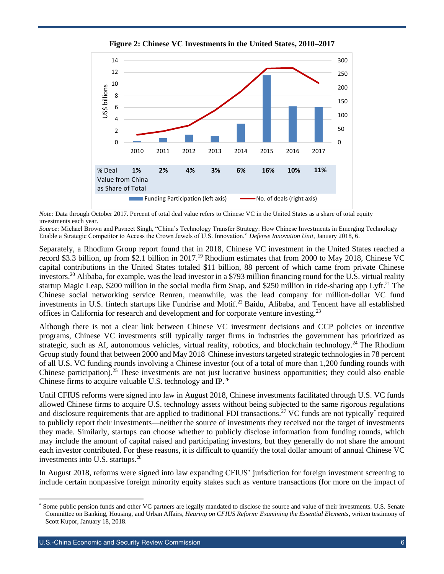

**Figure 2: Chinese VC Investments in the United States, 2010–2017**

*Note:* Data through October 2017. Percent of total deal value refers to Chinese VC in the United States as a share of total equity investments each year.

*Source:* Michael Brown and Pavneet Singh, "China's Technology Transfer Strategy: How Chinese Investments in Emerging Technology Enable a Strategic Competitor to Access the Crown Jewels of U.S. Innovation," *Defense Innovation Unit*, January 2018, 6.

Separately, a Rhodium Group report found that in 2018, Chinese VC investment in the United States reached a record \$3.3 billion, up from \$2.1 billion in 2017.<sup>19</sup> Rhodium estimates that from 2000 to May 2018, Chinese VC capital contributions in the United States totaled \$11 billion, 88 percent of which came from private Chinese investors.<sup>20</sup> Alibaba, for example, was the lead investor in a \$793 million financing round for the U.S. virtual reality startup Magic Leap, \$200 million in the social media firm Snap, and \$250 million in ride-sharing app Lyft.<sup>21</sup> The Chinese social networking service Renren, meanwhile, was the lead company for million-dollar VC fund investments in U.S. fintech startups like Fundrise and Motif.<sup>22</sup> Baidu, Alibaba, and Tencent have all established offices in California for research and development and for corporate venture investing.<sup>23</sup>

Although there is not a clear link between Chinese VC investment decisions and CCP policies or incentive programs, Chinese VC investments still typically target firms in industries the government has prioritized as strategic, such as AI, autonomous vehicles, virtual reality, robotics, and blockchain technology.<sup>24</sup> The Rhodium Group study found that between 2000 and May 2018 Chinese investors targeted strategic technologies in 78 percent of all U.S. VC funding rounds involving a Chinese investor (out of a total of more than 1,200 funding rounds with Chinese participation).<sup>25</sup> These investments are not just lucrative business opportunities; they could also enable Chinese firms to acquire valuable U.S. technology and IP.<sup>26</sup>

Until CFIUS reforms were signed into law in August 2018, Chinese investments facilitated through U.S. VC funds allowed Chinese firms to acquire U.S. technology assets without being subjected to the same rigorous regulations and disclosure requirements that are applied to traditional FDI transactions.<sup>27</sup> VC funds are not typically<sup>\*</sup> required to publicly report their investments—neither the source of investments they received nor the target of investments they made. Similarly, startups can choose whether to publicly disclose information from funding rounds, which may include the amount of capital raised and participating investors, but they generally do not share the amount each investor contributed. For these reasons, it is difficult to quantify the total dollar amount of annual Chinese VC investments into U.S. startups. 28

In August 2018, reforms were signed into law expanding CFIUS' jurisdiction for foreign investment screening to include certain nonpassive foreign minority equity stakes such as venture transactions (for more on the impact of

l

Some public pension funds and other VC partners are legally mandated to disclose the source and value of their investments. U.S. Senate Committee on Banking, Housing, and Urban Affairs, *Hearing on CFIUS Reform: Examining the Essential Elements*, written testimony of Scott Kupor, January 18, 2018.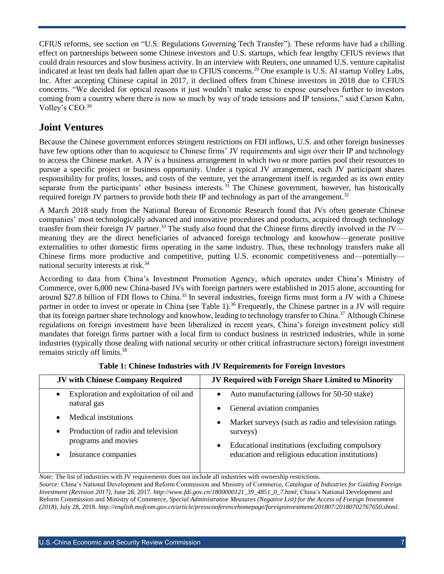CFIUS reforms, see section on "U.S. Regulations Governing Tech Transfer"). These reforms have had a chilling effect on partnerships between some Chinese investors and U.S. startups, which fear lengthy CFIUS reviews that could drain resources and slow business activity. In an interview with Reuters, one unnamed U.S. venture capitalist indicated at least ten deals had fallen apart due to CFIUS concerns.<sup>29</sup> One example is U.S. AI startup Volley Labs, Inc. After accepting Chinese capital in 2017, it declined offers from Chinese investors in 2018 due to CFIUS concerns. "We decided for optical reasons it just wouldn't make sense to expose ourselves further to investors coming from a country where there is now so much by way of trade tensions and IP tensions," said Carson Kahn, Volley's CEO.<sup>30</sup>

#### <span id="page-6-0"></span>**Joint Ventures**

Because the Chinese government enforces stringent restrictions on FDI inflows, U.S. and other foreign businesses have few options other than to acquiesce to Chinese firms' JV requirements and sign over their IP and technology to access the Chinese market. A JV is a business arrangement in which two or more parties pool their resources to pursue a specific project or business opportunity. Under a typical JV arrangement, each JV participant shares responsibility for profits, losses, and costs of the venture, yet the arrangement itself is regarded as its own entity separate from the participants' other business interests.<sup>31</sup> The Chinese government, however, has historically required foreign JV partners to provide both their IP and technology as part of the arrangement.<sup>32</sup>

A March 2018 study from the National Bureau of Economic Research found that JVs often generate Chinese companies' most technologically advanced and innovative procedures and products, acquired through technology transfer from their foreign JV partner.<sup>33</sup> The study also found that the Chinese firms directly involved in the JV meaning they are the direct beneficiaries of advanced foreign technology and knowhow—generate positive externalities to other domestic firms operating in the same industry. Thus, these technology transfers make all Chinese firms more productive and competitive, putting U.S. economic competitiveness and—potentially national security interests at risk.<sup>34</sup>

According to data from China's Investment Promotion Agency, which operates under China's Ministry of Commerce, over 6,000 new China-based JVs with foreign partners were established in 2015 alone, accounting for around \$27.8 billion of FDI flows to China.<sup>35</sup> In several industries, foreign firms must form a JV with a Chinese partner in order to invest or operate in China (see Table 1).<sup>36</sup> Frequently, the Chinese partner in a JV will require that its foreign partner share technology and knowhow, leading to technology transfer to China.<sup>37</sup> Although Chinese regulations on foreign investment have been liberalized in recent years, China's foreign investment policy still mandates that foreign firms partner with a local firm to conduct business in restricted industries, while in some industries (typically those dealing with national security or other critical infrastructure sectors) foreign investment remains strictly off limits.<sup>38</sup>

| <b>JV with Chinese Company Required</b>                             | JV Required with Foreign Share Limited to Minority                                                             |
|---------------------------------------------------------------------|----------------------------------------------------------------------------------------------------------------|
| Exploration and exploitation of oil and<br>$\bullet$<br>natural gas | Auto manufacturing (allows for 50-50 stake)                                                                    |
| Medical institutions<br>$\bullet$                                   | General aviation companies<br>$\bullet$                                                                        |
| Production of radio and television<br>$\bullet$                     | Market surveys (such as radio and television ratings)<br>$\bullet$<br>surveys)                                 |
| programs and movies<br>Insurance companies<br>$\bullet$             | Educational institutions (excluding compulsory<br>$\bullet$<br>education and religious education institutions) |
|                                                                     |                                                                                                                |

|  |  |  | Table 1: Chinese Industries with JV Requirements for Foreign Investors |  |  |
|--|--|--|------------------------------------------------------------------------|--|--|
|  |  |  |                                                                        |  |  |

*Note:* The list of industries with JV requirements does not include all industries with ownership restrictions.

*Source:* China's National Development and Reform Commission and Ministry of Commerce, *Catalogue of Industries for Guiding Foreign Investment (Revision 2017)*, June 28, 2017. *[http://www.fdi.gov.cn/1800000121\\_39\\_4851\\_0\\_7.html](http://www.fdi.gov.cn/1800000121_39_4851_0_7.html)*; China's National Development and Reform Commission and Ministry of Commerce, *Special Administrative Measures (Negative List) for the Access of Foreign Investment (2018)*, July 28, 2018. *<http://english.mofcom.gov.cn/article/pressconferencehomepage/foreigninvestment/201807/20180702767650.shtml>*.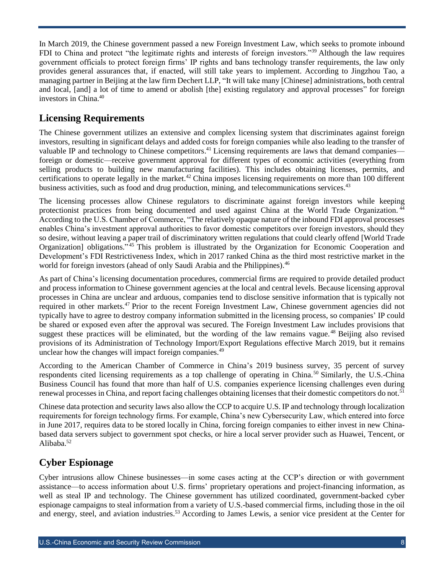In March 2019, the Chinese government passed a new Foreign Investment Law, which seeks to promote inbound FDI to China and protect "the legitimate rights and interests of foreign investors."<sup>39</sup> Although the law requires government officials to protect foreign firms' IP rights and bans technology transfer requirements, the law only provides general assurances that, if enacted, will still take years to implement. According to Jingzhou Tao, a managing partner in Beijing at the law firm Dechert LLP, "It will take many [Chinese] administrations, both central and local, [and] a lot of time to amend or abolish [the] existing regulatory and approval processes" for foreign investors in China. 40

#### <span id="page-7-0"></span>**Licensing Requirements**

The Chinese government utilizes an extensive and complex licensing system that discriminates against foreign investors, resulting in significant delays and added costs for foreign companies while also leading to the transfer of valuable IP and technology to Chinese competitors.<sup>41</sup> Licensing requirements are laws that demand companies foreign or domestic—receive government approval for different types of economic activities (everything from selling products to building new manufacturing facilities). This includes obtaining licenses, permits, and certifications to operate legally in the market.<sup>42</sup> China imposes licensing requirements on more than 100 different business activities, such as food and drug production, mining, and telecommunications services.<sup>43</sup>

The licensing processes allow Chinese regulators to discriminate against foreign investors while keeping protectionist practices from being documented and used against China at the World Trade Organization. <sup>44</sup> According to the U.S. Chamber of Commerce, "The relatively opaque nature of the inbound FDI approval processes enables China's investment approval authorities to favor domestic competitors over foreign investors, should they so desire, without leaving a paper trail of discriminatory written regulations that could clearly offend [World Trade Organization] obligations."<sup>45</sup> This problem is illustrated by the Organization for Economic Cooperation and Development's FDI Restrictiveness Index, which in 2017 ranked China as the third most restrictive market in the world for foreign investors (ahead of only Saudi Arabia and the Philippines).<sup>46</sup>

As part of China's licensing documentation procedures, commercial firms are required to provide detailed product and process information to Chinese government agencies at the local and central levels. Because licensing approval processes in China are unclear and arduous, companies tend to disclose sensitive information that is typically not required in other markets.<sup>47</sup> Prior to the recent Foreign Investment Law, Chinese government agencies did not typically have to agree to destroy company information submitted in the licensing process, so companies' IP could be shared or exposed even after the approval was secured. The Foreign Investment Law includes provisions that suggest these practices will be eliminated, but the wording of the law remains vague.<sup>48</sup> Beijing also revised provisions of its Administration of Technology Import/Export Regulations effective March 2019, but it remains unclear how the changes will impact foreign companies.<sup>49</sup>

According to the American Chamber of Commerce in China's 2019 business survey, 35 percent of survey respondents cited licensing requirements as a top challenge of operating in China.<sup>50</sup> Similarly, the U.S.-China Business Council has found that more than half of U.S. companies experience licensing challenges even during renewal processes in China, and report facing challenges obtaining licenses that their domestic competitors do not.<sup>51</sup>

Chinese data protection and security laws also allow the CCP to acquire U.S. IP and technology through localization requirements for foreign technology firms. For example, China's new Cybersecurity Law, which entered into force in June 2017, requires data to be stored locally in China, forcing foreign companies to either invest in new Chinabased data servers subject to government spot checks, or hire a local server provider such as Huawei, Tencent, or Alibaba. 52

#### <span id="page-7-1"></span>**Cyber Espionage**

Cyber intrusions allow Chinese businesses—in some cases acting at the CCP's direction or with government assistance—to access information about U.S. firms' proprietary operations and project-financing information, as well as steal IP and technology. The Chinese government has utilized coordinated, government-backed cyber espionage campaigns to steal information from a variety of U.S.-based commercial firms, including those in the oil and energy, steel, and aviation industries.<sup>53</sup> According to James Lewis, a senior vice president at the Center for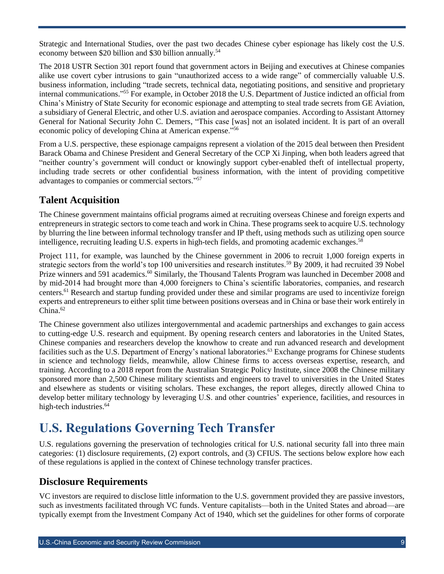Strategic and International Studies, over the past two decades Chinese cyber espionage has likely cost the U.S. economy between \$20 billion and \$30 billion annually.<sup>54</sup>

The 2018 USTR Section 301 report found that government actors in Beijing and executives at Chinese companies alike use covert cyber intrusions to gain "unauthorized access to a wide range" of commercially valuable U.S. business information, including "trade secrets, technical data, negotiating positions, and sensitive and proprietary internal communications." <sup>55</sup> For example, in October 2018 the U.S. Department of Justice indicted an official from China's Ministry of State Security for economic espionage and attempting to steal trade secrets from GE Aviation, a subsidiary of General Electric, and other U.S. aviation and aerospace companies. According to Assistant Attorney General for National Security John C. Demers, "This case [was] not an isolated incident. It is part of an overall economic policy of developing China at American expense."<sup>56</sup>

From a U.S. perspective, these espionage campaigns represent a violation of the 2015 deal between then President Barack Obama and Chinese President and General Secretary of the CCP Xi Jinping, when both leaders agreed that "neither country's government will conduct or knowingly support cyber-enabled theft of intellectual property, including trade secrets or other confidential business information, with the intent of providing competitive advantages to companies or commercial sectors." 57

#### <span id="page-8-0"></span>**Talent Acquisition**

The Chinese government maintains official programs aimed at recruiting overseas Chinese and foreign experts and entrepreneurs in strategic sectors to come teach and work in China. These programs seek to acquire U.S. technology by blurring the line between informal technology transfer and IP theft, using methods such as utilizing open source intelligence, recruiting leading U.S. experts in high-tech fields, and promoting academic exchanges. 58

Project 111, for example, was launched by the Chinese government in 2006 to recruit 1,000 foreign experts in strategic sectors from the world's top 100 universities and research institutes.<sup>59</sup> By 2009, it had recruited 39 Nobel Prize winners and 591 academics.<sup>60</sup> Similarly, the Thousand Talents Program was launched in December 2008 and by mid-2014 had brought more than 4,000 foreigners to China's scientific laboratories, companies, and research centers.<sup>61</sup> Research and startup funding provided under these and similar programs are used to incentivize foreign experts and entrepreneurs to either split time between positions overseas and in China or base their work entirely in China. 62

The Chinese government also utilizes intergovernmental and academic partnerships and exchanges to gain access to cutting-edge U.S. research and equipment. By opening research centers and laboratories in the United States, Chinese companies and researchers develop the knowhow to create and run advanced research and development facilities such as the U.S. Department of Energy's national laboratories.<sup>63</sup> Exchange programs for Chinese students in science and technology fields, meanwhile, allow Chinese firms to access overseas expertise, research, and training. According to a 2018 report from the Australian Strategic Policy Institute, since 2008 the Chinese military sponsored more than 2,500 Chinese military scientists and engineers to travel to universities in the United States and elsewhere as students or visiting scholars. These exchanges, the report alleges, directly allowed China to develop better military technology by leveraging U.S. and other countries' experience, facilities, and resources in high-tech industries. 64

## <span id="page-8-1"></span>**U.S. Regulations Governing Tech Transfer**

U.S. regulations governing the preservation of technologies critical for U.S. national security fall into three main categories: (1) disclosure requirements, (2) export controls, and (3) CFIUS. The sections below explore how each of these regulations is applied in the context of Chinese technology transfer practices.

#### <span id="page-8-2"></span>**Disclosure Requirements**

VC investors are required to disclose little information to the U.S. government provided they are passive investors, such as investments facilitated through VC funds. Venture capitalists—both in the United States and abroad—are typically exempt from the Investment Company Act of 1940, which set the guidelines for other forms of corporate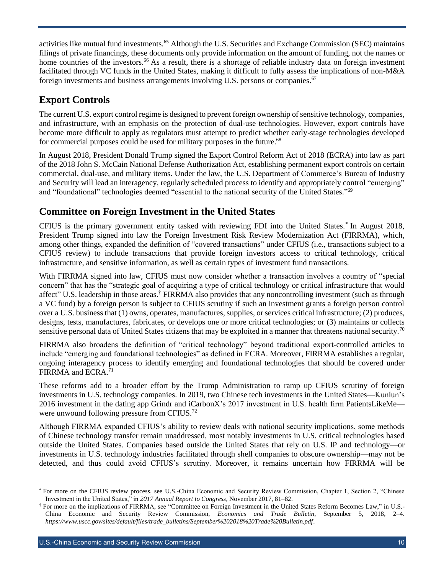activities like mutual fund investments.<sup>65</sup> Although the U.S. Securities and Exchange Commission (SEC) maintains filings of private financings, these documents only provide information on the amount of funding, not the names or home countries of the investors.<sup>66</sup> As a result, there is a shortage of reliable industry data on foreign investment facilitated through VC funds in the United States, making it difficult to fully assess the implications of non-M&A foreign investments and business arrangements involving U.S. persons or companies.<sup>67</sup>

#### <span id="page-9-0"></span>**Export Controls**

The current U.S. export control regime is designed to prevent foreign ownership of sensitive technology, companies, and infrastructure, with an emphasis on the protection of dual-use technologies. However, export controls have become more difficult to apply as regulators must attempt to predict whether early-stage technologies developed for commercial purposes could be used for military purposes in the future.<sup>68</sup>

In August 2018, President Donald Trump signed the Export Control Reform Act of 2018 (ECRA) into law as part of the 2018 John S. McCain National Defense Authorization Act, establishing permanent export controls on certain commercial, dual-use, and military items. Under the law, the U.S. Department of Commerce's Bureau of Industry and Security will lead an interagency, regularly scheduled process to identify and appropriately control "emerging" and "foundational" technologies deemed "essential to the national security of the United States."<sup>69</sup>

#### <span id="page-9-1"></span>**Committee on Foreign Investment in the United States**

CFIUS is the primary government entity tasked with reviewing FDI into the United States.\* In August 2018, President Trump signed into law the Foreign Investment Risk Review Modernization Act (FIRRMA), which, among other things, expanded the definition of "covered transactions" under CFIUS (i.e., transactions subject to a CFIUS review) to include transactions that provide foreign investors access to critical technology, critical infrastructure, and sensitive information, as well as certain types of investment fund transactions.

With FIRRMA signed into law, CFIUS must now consider whether a transaction involves a country of "special concern" that has the "strategic goal of acquiring a type of critical technology or critical infrastructure that would affect" U.S. leadership in those areas.† FIRRMA also provides that any noncontrolling investment (such as through a VC fund) by a foreign person is subject to CFIUS scrutiny if such an investment grants a foreign person control over a U.S. business that (1) owns, operates, manufactures, supplies, or services critical infrastructure; (2) produces, designs, tests, manufactures, fabricates, or develops one or more critical technologies; or (3) maintains or collects sensitive personal data of United States citizens that may be exploited in a manner that threatens national security.<sup>70</sup>

FIRRMA also broadens the definition of "critical technology" beyond traditional export-controlled articles to include "emerging and foundational technologies" as defined in ECRA. Moreover, FIRRMA establishes a regular, ongoing interagency process to identify emerging and foundational technologies that should be covered under FIRRMA and ECRA.<sup>71</sup>

These reforms add to a broader effort by the Trump Administration to ramp up CFIUS scrutiny of foreign investments in U.S. technology companies. In 2019, two Chinese tech investments in the United States—Kunlun's 2016 investment in the dating app Grindr and iCarbonX's 2017 investment in U.S. health firm PatientsLikeMe were unwound following pressure from CFIUS.<sup>72</sup>

Although FIRRMA expanded CFIUS's ability to review deals with national security implications, some methods of Chinese technology transfer remain unaddressed, most notably investments in U.S. critical technologies based outside the United States. Companies based outside the United States that rely on U.S. IP and technology—or investments in U.S. technology industries facilitated through shell companies to obscure ownership—may not be detected, and thus could avoid CFIUS's scrutiny. Moreover, it remains uncertain how FIRRMA will be

 $\overline{a}$ 

<sup>\*</sup> For more on the CFIUS review process, see U.S.-China Economic and Security Review Commission, Chapter 1, Section 2, "Chinese Investment in the United States," in *2017 Annual Report to Congress*, November 2017, 81–82.

<sup>†</sup> For more on the implications of FIRRMA, see "Committee on Foreign Investment in the United States Reform Becomes Law," in U.S.- China Economic and Security Review Commission, *Economics and Trade Bulletin*, September 5, 2018, 2–4. *[https://www.uscc.gov/sites/default/files/trade\\_bulletins/September%202018%20Trade%20Bulletin.pdf](https://www.uscc.gov/sites/default/files/trade_bulletins/September%202018%20Trade%20Bulletin.pdf)*.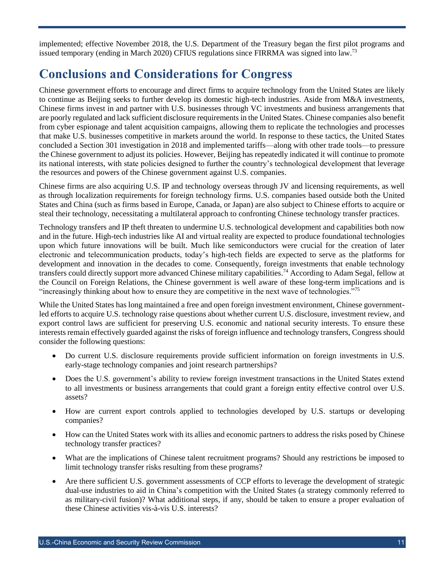implemented; effective November 2018, the U.S. Department of the Treasury began the first pilot programs and issued temporary (ending in March 2020) CFIUS regulations since FIRRMA was signed into law.<sup>73</sup>

## <span id="page-10-0"></span>**Conclusions and Considerations for Congress**

Chinese government efforts to encourage and direct firms to acquire technology from the United States are likely to continue as Beijing seeks to further develop its domestic high-tech industries. Aside from M&A investments, Chinese firms invest in and partner with U.S. businesses through VC investments and business arrangements that are poorly regulated and lack sufficient disclosure requirements in the United States. Chinese companies also benefit from cyber espionage and talent acquisition campaigns, allowing them to replicate the technologies and processes that make U.S. businesses competitive in markets around the world. In response to these tactics, the United States concluded a Section 301 investigation in 2018 and implemented tariffs—along with other trade tools—to pressure the Chinese government to adjust its policies. However, Beijing has repeatedly indicated it will continue to promote its national interests, with state policies designed to further the country's technological development that leverage the resources and powers of the Chinese government against U.S. companies.

Chinese firms are also acquiring U.S. IP and technology overseas through JV and licensing requirements, as well as through localization requirements for foreign technology firms. U.S. companies based outside both the United States and China (such as firms based in Europe, Canada, or Japan) are also subject to Chinese efforts to acquire or steal their technology, necessitating a multilateral approach to confronting Chinese technology transfer practices.

Technology transfers and IP theft threaten to undermine U.S. technological development and capabilities both now and in the future. High-tech industries like AI and virtual reality are expected to produce foundational technologies upon which future innovations will be built. Much like semiconductors were crucial for the creation of later electronic and telecommunication products, today's high-tech fields are expected to serve as the platforms for development and innovation in the decades to come. Consequently, foreign investments that enable technology transfers could directly support more advanced Chinese military capabilities. <sup>74</sup> According to Adam Segal, fellow at the Council on Foreign Relations, the Chinese government is well aware of these long-term implications and is "increasingly thinking about how to ensure they are competitive in the next wave of technologies."<sup>75</sup>

While the United States has long maintained a free and open foreign investment environment, Chinese governmentled efforts to acquire U.S. technology raise questions about whether current U.S. disclosure, investment review, and export control laws are sufficient for preserving U.S. economic and national security interests. To ensure these interests remain effectively guarded against the risks of foreign influence and technology transfers, Congress should consider the following questions:

- Do current U.S. disclosure requirements provide sufficient information on foreign investments in U.S. early-stage technology companies and joint research partnerships?
- Does the U.S. government's ability to review foreign investment transactions in the United States extend to all investments or business arrangements that could grant a foreign entity effective control over U.S. assets?
- How are current export controls applied to technologies developed by U.S. startups or developing companies?
- How can the United States work with its allies and economic partners to address the risks posed by Chinese technology transfer practices?
- What are the implications of Chinese talent recruitment programs? Should any restrictions be imposed to limit technology transfer risks resulting from these programs?
- Are there sufficient U.S. government assessments of CCP efforts to leverage the development of strategic dual-use industries to aid in China's competition with the United States (a strategy commonly referred to as military-civil fusion)? What additional steps, if any, should be taken to ensure a proper evaluation of these Chinese activities vis-à-vis U.S. interests?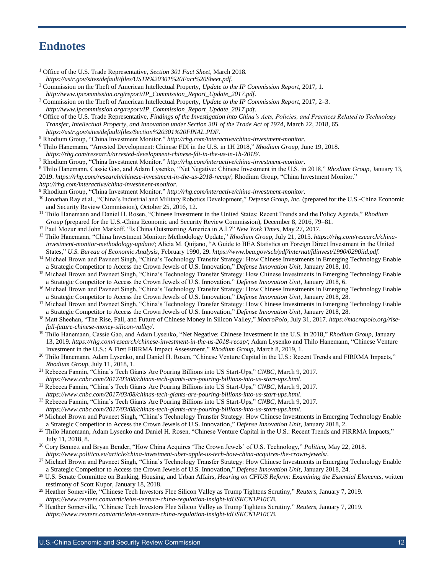#### **Endnotes**

| <sup>1</sup> Office of the U.S. Trade Representative, Section 301 Fact Sheet, March 2018.                                                                                                                                                                               |
|-------------------------------------------------------------------------------------------------------------------------------------------------------------------------------------------------------------------------------------------------------------------------|
| https://ustr.gov/sites/default/files/USTR%20301%20Fact%20Sheet.pdf.                                                                                                                                                                                                     |
| <sup>2</sup> Commission on the Theft of American Intellectual Property, Update to the IP Commission Report, 2017, 1.                                                                                                                                                    |
| http://www.ipcommission.org/report/IP_Commission_Report_Update_2017.pdf.                                                                                                                                                                                                |
| <sup>3</sup> Commission on the Theft of American Intellectual Property, <i>Update to the IP Commission Report</i> , 2017, 2–3.                                                                                                                                          |
| http://www.ipcommission.org/report/IP_Commission_Report_Update_2017.pdf.                                                                                                                                                                                                |
| <sup>4</sup> Office of the U.S. Trade Representative, Findings of the Investigation into China's Acts, Policies, and Practices Related to Technology                                                                                                                    |
| Transfer, Intellectual Property, and Innovation under Section 301 of the Trade Act of 1974, March 22, 2018, 65.                                                                                                                                                         |
| https://ustr.gov/sites/default/files/Section%20301%20FINAL.PDF.                                                                                                                                                                                                         |
| <sup>5</sup> Rhodium Group, "China Investment Monitor." http://rhg.com/interactive/china-investment-monitor.                                                                                                                                                            |
| <sup>6</sup> Thilo Hanemann, "Arrested Development: Chinese FDI in the U.S. in 1H 2018," Rhodium Group, June 19, 2018.                                                                                                                                                  |
| https://rhg.com/research/arrested-development-chinese-fdi-in-the-us-in-1h-2018/.                                                                                                                                                                                        |
| <sup>7</sup> Rhodium Group, "China Investment Monitor." http://rhg.com/interactive/china-investment-monitor.                                                                                                                                                            |
| <sup>8</sup> Thilo Hanemann, Cassie Gao, and Adam Lysenko, "Net Negative: Chinese Investment in the U.S. in 2018," Rhodium Group, January 13,                                                                                                                           |
| 2019. https://rhg.com/research/chinese-investment-in-the-us-2018-recap/; Rhodium Group, "China Investment Monitor."<br>http://rhg.com/interactive/china-investment-monitor.                                                                                             |
| <sup>9</sup> Rhodium Group, "China Investment Monitor." http://rhg.com/interactive/china-investment-monitor.                                                                                                                                                            |
| <sup>10</sup> Jonathan Ray et al., "China's Industrial and Military Robotics Development," Defense Group, Inc. (prepared for the U.S.-China Economic                                                                                                                    |
| and Security Review Commission), October 25, 2016, 12.                                                                                                                                                                                                                  |
| <sup>11</sup> Thilo Hanemann and Daniel H. Rosen, "Chinese Investment in the United States: Recent Trends and the Policy Agenda," Rhodium                                                                                                                               |
| Group (prepared for the U.S.-China Economic and Security Review Commission), December 8, 2016, 79-81.                                                                                                                                                                   |
| <sup>12</sup> Paul Mozur and John Markoff, "Is China Outsmarting America in A.I.?" New York Times, May 27, 2017.                                                                                                                                                        |
| <sup>13</sup> Thilo Hanemann, "China Investment Monitor: Methodology Update," Rhodium Group, July 21, 2015. https://rhg.com/research/china-                                                                                                                             |
| investment-monitor-methodology-update/; Alicia M. Quijano, "A Guide to BEA Statistics on Foreign Direct Investment in the United                                                                                                                                        |
| States," U.S. Bureau of Economic Analysis, February 1990, 29. https://www.bea.gov/scb/pdf/internat/fdinvest/1990/0290iid.pdf.                                                                                                                                           |
| <sup>14</sup> Michael Brown and Pavneet Singh, "China's Technology Transfer Strategy: How Chinese Investments in Emerging Technology Enable                                                                                                                             |
| a Strategic Competitor to Access the Crown Jewels of U.S. Innovation," Defense Innovation Unit, January 2018, 10.                                                                                                                                                       |
| <sup>15</sup> Michael Brown and Pavneet Singh, "China's Technology Transfer Strategy: How Chinese Investments in Emerging Technology Enable                                                                                                                             |
| a Strategic Competitor to Access the Crown Jewels of U.S. Innovation," Defense Innovation Unit, January 2018, 6.                                                                                                                                                        |
| <sup>16</sup> Michael Brown and Payneet Singh, "China's Technology Transfer Strategy: How Chinese Investments in Emerging Technology Enable                                                                                                                             |
| a Strategic Competitor to Access the Crown Jewels of U.S. Innovation," Defense Innovation Unit, January 2018, 28.                                                                                                                                                       |
| <sup>17</sup> Michael Brown and Pavneet Singh, "China's Technology Transfer Strategy: How Chinese Investments in Emerging Technology Enable                                                                                                                             |
| a Strategic Competitor to Access the Crown Jewels of U.S. Innovation," Defense Innovation Unit, January 2018, 28.<br><sup>18</sup> Matt Sheehan, "The Rise, Fall, and Future of Chinese Money in Silicon Valley," MacroPolo, July 31, 2017. https://macropolo.org/rise- |
| fall-future-chinese-money-silicon-valley/.                                                                                                                                                                                                                              |
| <sup>19</sup> Thilo Hanemann, Cassie Gao, and Adam Lysenko, "Net Negative: Chinese Investment in the U.S. in 2018," Rhodium Group, January                                                                                                                              |
| 13, 2019. https://rhg.com/research/chinese-investment-in-the-us-2018-recap/; Adam Lysenko and Thilo Hanemann, "Chinese Venture                                                                                                                                          |
| Investment in the U.S.: A First FIRRMA Impact Assessment," Rhodium Group, March 8, 2019, 1.                                                                                                                                                                             |
| <sup>20</sup> Thilo Hanemann, Adam Lysenko, and Daniel H. Rosen, "Chinese Venture Capital in the U.S.: Recent Trends and FIRRMA Impacts,"                                                                                                                               |
| Rhodium Group, July 11, 2018, 1.                                                                                                                                                                                                                                        |
| <sup>21</sup> Rebecca Fannin, "China's Tech Giants Are Pouring Billions into US Start-Ups," CNBC, March 9, 2017.                                                                                                                                                        |
| https://www.cnbc.com/2017/03/08/chinas-tech-giants-are-pouring-billions-into-us-start-ups.html.                                                                                                                                                                         |
| <sup>22</sup> Rebecca Fannin, "China's Tech Giants Are Pouring Billions into US Start-Ups," CNBC, March 9, 2017.                                                                                                                                                        |
| https://www.cnbc.com/2017/03/08/chinas-tech-giants-are-pouring-billions-into-us-start-ups.html.                                                                                                                                                                         |
| <sup>23</sup> Rebecca Fannin, "China's Tech Giants Are Pouring Billions into US Start-Ups," CNBC, March 9, 2017.                                                                                                                                                        |
| https://www.cnbc.com/2017/03/08/chinas-tech-giants-are-pouring-billions-into-us-start-ups.html.                                                                                                                                                                         |

<sup>24</sup> Michael Brown and Pavneet Singh, "China's Technology Transfer Strategy: How Chinese Investments in Emerging Technology Enable a Strategic Competitor to Access the Crown Jewels of U.S. Innovation," *Defense Innovation Unit*, January 2018, 2.

<sup>25</sup> Thilo Hanemann, Adam Lysenko and Daniel H. Rosen, "Chinese Venture Capital in the U.S.: Recent Trends and FIRRMA Impacts," July 11, 2018, 8.

- <sup>26</sup> Cory Bennett and Bryan Bender, "How China Acquires 'The Crown Jewels' of U.S. Technology," *Politico*, May 22, 2018. *<https://www.politico.eu/article/china-investment-uber-apple-us-tech-how-china-acquires-the-crown-jewels/>*.
- <sup>27</sup> Michael Brown and Pavneet Singh, "China's Technology Transfer Strategy: How Chinese Investments in Emerging Technology Enable a Strategic Competitor to Access the Crown Jewels of U.S. Innovation," *Defense Innovation Unit*, January 2018, 24.
- <sup>28</sup> U.S. Senate Committee on Banking, Housing, and Urban Affairs, *Hearing on CFIUS Reform: Examining the Essential Elements*, written testimony of Scott Kupor, January 18, 2018.
- <sup>29</sup> Heather Somerville, "Chinese Tech Investors Flee Silicon Valley as Trump Tightens Scrutiny," *Reuters*, January 7, 2019. *<https://www.reuters.com/article/us-venture-china-regulation-insight-idUSKCN1P10CB>*.
- <sup>30</sup> Heather Somerville, "Chinese Tech Investors Flee Silicon Valley as Trump Tightens Scrutiny," *Reuters*, January 7, 2019. *<https://www.reuters.com/article/us-venture-china-regulation-insight-idUSKCN1P10CB>*.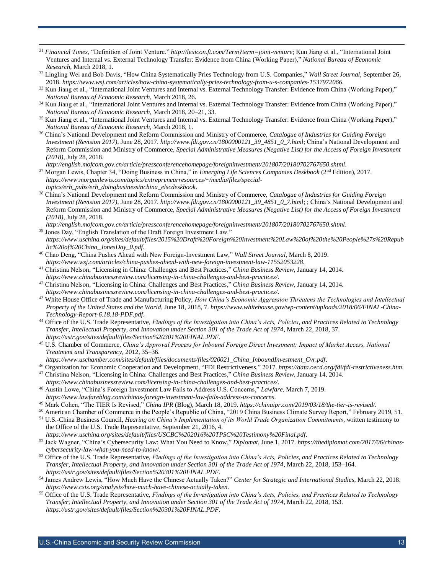<sup>31</sup> *Financial Times*, "Definition of Joint Venture." *<http://lexicon.ft.com/Term?term=joint-venture>*; Kun Jiang et al., "International Joint Ventures and Internal vs. External Technology Transfer: Evidence from China (Working Paper)," *National Bureau of Economic Research*, March 2018, 1.

 $\overline{a}$ 

- <sup>32</sup> Lingling Wei and Bob Davis, "How China Systematically Pries Technology from U.S. Companies," *Wall Street Journal*, September 26, 2018. *<https://www.wsj.com/articles/how-china-systematically-pries-technology-from-u-s-companies-1537972066>*.
- <sup>33</sup> Kun Jiang et al., "International Joint Ventures and Internal vs. External Technology Transfer: Evidence from China (Working Paper)," *National Bureau of Economic Research*, March 2018, 26.
- <sup>34</sup> Kun Jiang et al., "International Joint Ventures and Internal vs. External Technology Transfer: Evidence from China (Working Paper)," *National Bureau of Economic Research*, March 2018, 20–21, 33.
- <sup>35</sup> Kun Jiang et al., "International Joint Ventures and Internal vs. External Technology Transfer: Evidence from China (Working Paper)," *National Bureau of Economic Research*, March 2018, 1.
- <sup>36</sup> China's National Development and Reform Commission and Ministry of Commerce, *Catalogue of Industries for Guiding Foreign Investment (Revision 2017)*, June 28, 2017. *[http://www.fdi.gov.cn/1800000121\\_39\\_4851\\_0\\_7.html](http://www.fdi.gov.cn/1800000121_39_4851_0_7.html)*; China's National Development and Reform Commission and Ministry of Commerce, *Special Administrative Measures (Negative List) for the Access of Foreign Investment (2018)*, July 28, 2018.

*<http://english.mofcom.gov.cn/article/pressconferencehomepage/foreigninvestment/201807/20180702767650.shtml>*.

- <sup>37</sup> Morgan Lewis, Chapter 34, "Doing Business in China," in *Emerging Life Sciences Companies Deskbook* (2<sup>nd</sup> Edition), 2017. *[https://www.morganlewis.com/topics/entrepreneurresources/~/media/files/special](https://www.morganlewis.com/topics/entrepreneurresources/~/media/files/special-topics/erh_pubs/erh_doingbusinessinchina_elscdeskbook)[topics/erh\\_pubs/erh\\_doingbusinessinchina\\_elscdeskbook](https://www.morganlewis.com/topics/entrepreneurresources/~/media/files/special-topics/erh_pubs/erh_doingbusinessinchina_elscdeskbook)*.
- <sup>38</sup> China's National Development and Reform Commission and Ministry of Commerce, *Catalogue of Industries for Guiding Foreign Investment (Revision 2017)*, June 28, 2017. *[http://www.fdi.gov.cn/1800000121\\_39\\_4851\\_0\\_7.html](http://www.fdi.gov.cn/1800000121_39_4851_0_7.html)*; ; China's National Development and Reform Commission and Ministry of Commerce, *Special Administrative Measures (Negative List) for the Access of Foreign Investment (2018)*, July 28, 2018.

*<http://english.mofcom.gov.cn/article/pressconferencehomepage/foreigninvestment/201807/20180702767650.shtml>*.

- <sup>39</sup> Jones Day, "English Translation of the Draft Foreign Investment Law." *[https://www.uschina.org/sites/default/files/2015%20Draft%20Foreign%20Investment%20Law%20of%20the%20People%27s%20Repub](https://www.uschina.org/sites/default/files/2015%20Draft%20Foreign%20Investment%20Law%20of%20the%20People%27s%20Republic%20of%20China_JonesDay_0.pdf) [lic%20of%20China\\_JonesDay\\_0.pdf](https://www.uschina.org/sites/default/files/2015%20Draft%20Foreign%20Investment%20Law%20of%20the%20People%27s%20Republic%20of%20China_JonesDay_0.pdf)*.
- <sup>40</sup> Chao Deng, "China Pushes Ahead with New Foreign-Investment Law," *Wall Street Journal*, March 8, 2019. *<https://www.wsj.com/articles/china-pushes-ahead-with-new-foreign-investment-law-11552053228>*.
- <sup>41</sup> Christina Nelson, "Licensing in China: Challenges and Best Practices," *China Business Review*, January 14, 2014. *<https://www.chinabusinessreview.com/licensing-in-china-challenges-and-best-practices/>*.
- <sup>42</sup> Christina Nelson, "Licensing in China: Challenges and Best Practices," *China Business Review*, January 14, 2014. *<https://www.chinabusinessreview.com/licensing-in-china-challenges-and-best-practices/>*.
- <sup>43</sup> White House Office of Trade and Manufacturing Policy, *How China's Economic Aggression Threatens the Technologies and Intellectual Property of the United States and the World*, June 18, 2018, 7. *[https://www.whitehouse.gov/wp-content/uploads/2018/06/FINAL-China-](https://www.whitehouse.gov/wp-content/uploads/2018/06/FINAL-China-Technology-Report-6.18.18-PDF.pdf)[Technology-Report-6.18.18-PDF.pdf](https://www.whitehouse.gov/wp-content/uploads/2018/06/FINAL-China-Technology-Report-6.18.18-PDF.pdf)*.
- <sup>44</sup> Office of the U.S. Trade Representative, *Findings of the Investigation into China's Acts, Policies, and Practices Related to Technology Transfer, Intellectual Property, and Innovation under Section 301 of the Trade Act of 1974*, March 22, 2018, 37. *<https://ustr.gov/sites/default/files/Section%20301%20FINAL.PDF>*.
- <sup>45</sup> U.S. Chamber of Commerce, *China's Approval Process for Inbound Foreign Direct Investment: Impact of Market Access, National Treatment and Transparency*, 2012, 35–36.
- *[https://www.uschamber.com/sites/default/files/documents/files/020021\\_China\\_InboundInvestment\\_Cvr.pdf](https://www.uschamber.com/sites/default/files/documents/files/020021_China_InboundInvestment_Cvr.pdf)*.
- <sup>46</sup> Organization for Economic Cooperation and Development, "FDI Restrictiveness," 2017. *<https://data.oecd.org/fdi/fdi-restrictiveness.htm>*. <sup>47</sup> Christina Nelson, "Licensing in China: Challenges and Best Practices," *China Business Review*, January 14, 2014.
- *<https://www.chinabusinessreview.com/licensing-in-china-challenges-and-best-practices/>*. <sup>48</sup> Austin Lowe, "China's Foreign Investment Law Fails to Address U.S. Concerns," *Lawfare*, March 7, 2019.
	- *<https://www.lawfareblog.com/chinas-foreign-investment-law-fails-address-us-concerns>*.
- <sup>49</sup> Mark Cohen, "The TIER Is Revised," *China IPR* (Blog), March 18, 2019. *<https://chinaipr.com/2019/03/18/the-tier-is-revised/>*.
- <sup>50</sup> American Chamber of Commerce in the People's Republic of China, "2019 China Business Climate Survey Report," February 2019, 51.
- <sup>51</sup> U.S.-China Business Council, *Hearing on China's Implementation of its World Trade Organization Commitments*, written testimony to the Office of the U.S. Trade Representative, September 21, 2016, 4.
- *<https://www.uschina.org/sites/default/files/USCBC%202016%20TPSC%20Testimony%20Final.pdf>*.
- <sup>52</sup> Jack Wagner, "China's Cybersecurity Law: What You Need to Know," *Diplomat*, June 1, 2017. *[https://thediplomat.com/2017/06/chinas](https://thediplomat.com/2017/06/chinas-cybersecurity-law-what-you-need-to-know/)[cybersecurity-law-what-you-need-to-know/](https://thediplomat.com/2017/06/chinas-cybersecurity-law-what-you-need-to-know/)*.
- <sup>53</sup> Office of the U.S. Trade Representative, *Findings of the Investigation into China's Acts, Policies, and Practices Related to Technology Transfer, Intellectual Property, and Innovation under Section 301 of the Trade Act of 1974*, March 22, 2018, 153–164. *<https://ustr.gov/sites/default/files/Section%20301%20FINAL.PDF>*.
- <sup>54</sup> James Andrew Lewis, "How Much Have the Chinese Actually Taken?" *Center for Strategic and International Studies*, March 22, 2018. *<https://www.csis.org/analysis/how-much-have-chinese-actually-taken>*.
- <sup>55</sup> Office of the U.S. Trade Representative, *Findings of the Investigation into China's Acts, Policies, and Practices Related to Technology Transfer, Intellectual Property, and Innovation under Section 301 of the Trade Act of 1974*, March 22, 2018, 153. *<https://ustr.gov/sites/default/files/Section%20301%20FINAL.PDF>*.